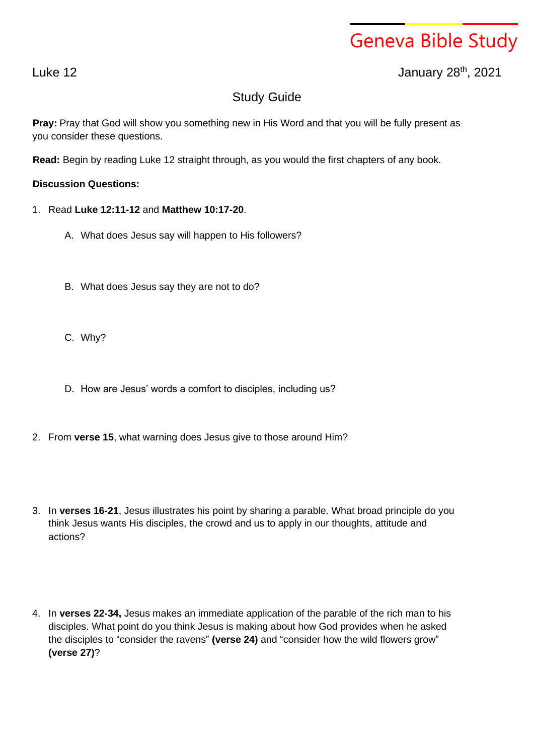## Geneva Bible Study

Luke 12 January 28 th , 2021

## Study Guide

**Pray:** Pray that God will show you something new in His Word and that you will be fully present as you consider these questions.

**Read:** Begin by reading Luke 12 straight through, as you would the first chapters of any book.

## **Discussion Questions:**

- 1. Read **Luke 12:11-12** and **Matthew 10:17-20**.
	- A. What does Jesus say will happen to His followers?
	- B. What does Jesus say they are not to do?
	- C. Why?
	- D. How are Jesus' words a comfort to disciples, including us?
- 2. From **verse 15**, what warning does Jesus give to those around Him?
- 3. In **verses 16-21**, Jesus illustrates his point by sharing a parable. What broad principle do you think Jesus wants His disciples, the crowd and us to apply in our thoughts, attitude and actions?
- 4. In **verses 22-34,** Jesus makes an immediate application of the parable of the rich man to his disciples. What point do you think Jesus is making about how God provides when he asked the disciples to "consider the ravens" **(verse 24)** and "consider how the wild flowers grow" **(verse 27)**?